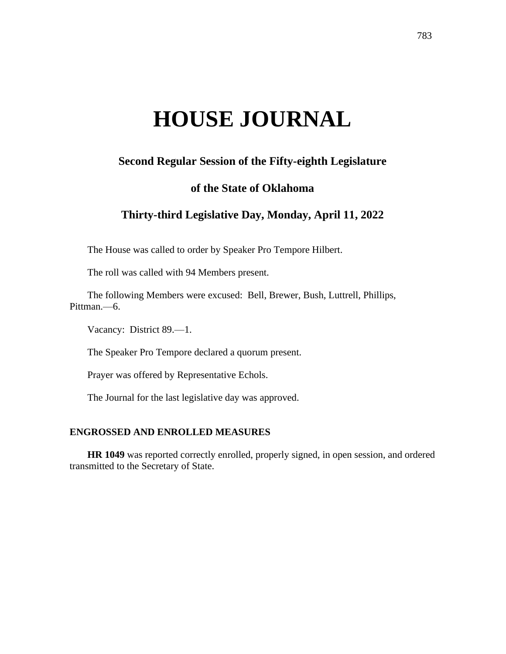# **HOUSE JOURNAL**

# **Second Regular Session of the Fifty-eighth Legislature**

## **of the State of Oklahoma**

# **Thirty-third Legislative Day, Monday, April 11, 2022**

The House was called to order by Speaker Pro Tempore Hilbert.

The roll was called with 94 Members present.

The following Members were excused: Bell, Brewer, Bush, Luttrell, Phillips, Pittman.—6.

Vacancy: District 89.—1.

The Speaker Pro Tempore declared a quorum present.

Prayer was offered by Representative Echols.

The Journal for the last legislative day was approved.

## **ENGROSSED AND ENROLLED MEASURES**

**HR 1049** was reported correctly enrolled, properly signed, in open session, and ordered transmitted to the Secretary of State.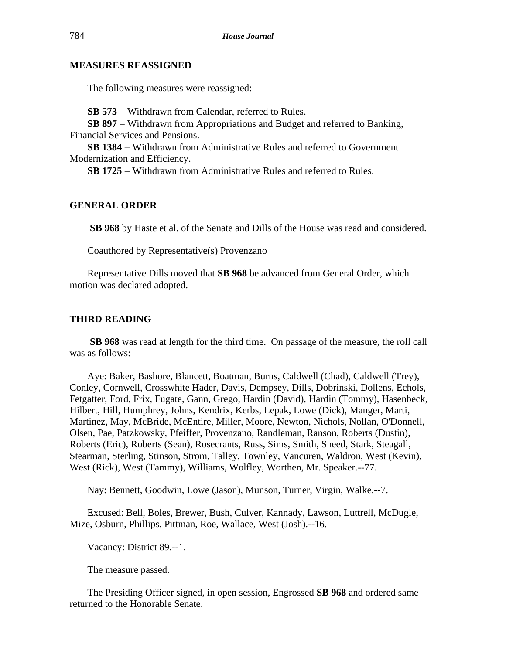## **MEASURES REASSIGNED**

The following measures were reassigned:

**SB 573** − Withdrawn from Calendar, referred to Rules.

**SB 897** − Withdrawn from Appropriations and Budget and referred to Banking, Financial Services and Pensions.

**SB 1384** − Withdrawn from Administrative Rules and referred to Government Modernization and Efficiency.

**SB 1725** − Withdrawn from Administrative Rules and referred to Rules.

#### **GENERAL ORDER**

**SB 968** by Haste et al. of the Senate and Dills of the House was read and considered.

Coauthored by Representative(s) Provenzano

Representative Dills moved that **SB 968** be advanced from General Order, which motion was declared adopted.

#### **THIRD READING**

**SB 968** was read at length for the third time. On passage of the measure, the roll call was as follows:

Aye: Baker, Bashore, Blancett, Boatman, Burns, Caldwell (Chad), Caldwell (Trey), Conley, Cornwell, Crosswhite Hader, Davis, Dempsey, Dills, Dobrinski, Dollens, Echols, Fetgatter, Ford, Frix, Fugate, Gann, Grego, Hardin (David), Hardin (Tommy), Hasenbeck, Hilbert, Hill, Humphrey, Johns, Kendrix, Kerbs, Lepak, Lowe (Dick), Manger, Marti, Martinez, May, McBride, McEntire, Miller, Moore, Newton, Nichols, Nollan, O'Donnell, Olsen, Pae, Patzkowsky, Pfeiffer, Provenzano, Randleman, Ranson, Roberts (Dustin), Roberts (Eric), Roberts (Sean), Rosecrants, Russ, Sims, Smith, Sneed, Stark, Steagall, Stearman, Sterling, Stinson, Strom, Talley, Townley, Vancuren, Waldron, West (Kevin), West (Rick), West (Tammy), Williams, Wolfley, Worthen, Mr. Speaker.--77.

Nay: Bennett, Goodwin, Lowe (Jason), Munson, Turner, Virgin, Walke.--7.

Excused: Bell, Boles, Brewer, Bush, Culver, Kannady, Lawson, Luttrell, McDugle, Mize, Osburn, Phillips, Pittman, Roe, Wallace, West (Josh).--16.

Vacancy: District 89.--1.

The measure passed.

The Presiding Officer signed, in open session, Engrossed **SB 968** and ordered same returned to the Honorable Senate.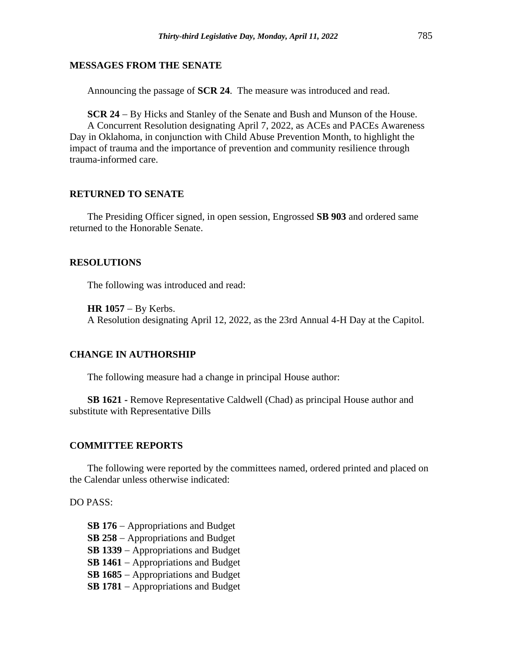#### **MESSAGES FROM THE SENATE**

Announcing the passage of **SCR 24**. The measure was introduced and read.

**SCR 24** − By Hicks and Stanley of the Senate and Bush and Munson of the House. A Concurrent Resolution designating April 7, 2022, as ACEs and PACEs Awareness Day in Oklahoma, in conjunction with Child Abuse Prevention Month, to highlight the impact of trauma and the importance of prevention and community resilience through trauma-informed care.

#### **RETURNED TO SENATE**

The Presiding Officer signed, in open session, Engrossed **SB 903** and ordered same returned to the Honorable Senate.

#### **RESOLUTIONS**

The following was introduced and read:

**HR 1057** − By Kerbs.

A Resolution designating April 12, 2022, as the 23rd Annual 4-H Day at the Capitol.

#### **CHANGE IN AUTHORSHIP**

The following measure had a change in principal House author:

**SB 1621 -** Remove Representative Caldwell (Chad) as principal House author and substitute with Representative Dills

#### **COMMITTEE REPORTS**

The following were reported by the committees named, ordered printed and placed on the Calendar unless otherwise indicated:

DO PASS:

**SB 176** − Appropriations and Budget **SB 258** − Appropriations and Budget **SB 1339** − Appropriations and Budget **SB 1461** − Appropriations and Budget **SB 1685** − Appropriations and Budget **SB 1781** − Appropriations and Budget